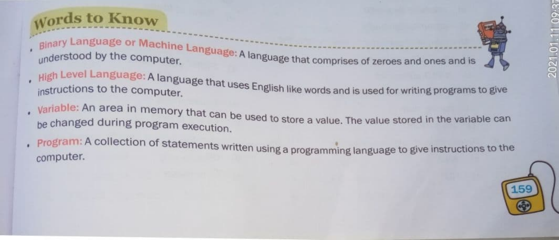## Words to Know

- Binary Language or Machine
- understood by the computer. Language: A language that comprises of zeroes and ones and is



- 
- High Level Language: A language that uses English like words and is used for writing prog<br><sub>in</sub>structions to the computer. instructions to the computer
- . Variable: An area in memory that can be used to store a value. The value stored in the variable can be changed during program execution.
- , Program: A collection of statements written using a programming language to give instructions to the computer. computer.

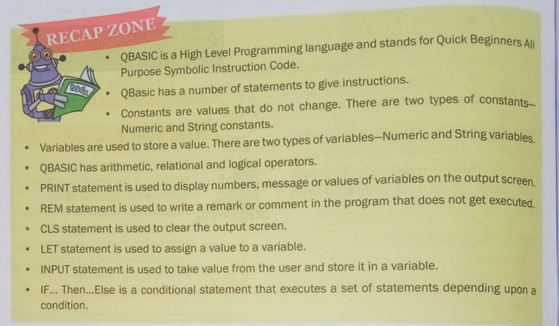

- QBASIC is a High Level Programming language and stands for Quick Beginners All  $\bullet$ Purpose Symbolic Instruction Code.
- QBasic has a number of statements to give instructions.
- Constants are values that do not change. There are two types of constants ۰
- Numeric and String constants. es. Numeric and String constants.
- $\bullet$
- QBASIC has arithmetic, relational and logical operators.  $\bullet$
- PRINT statement is used to display numbers, message or values of variables on the output screen.
- REM statement is used to write a remark or comment in the program that does not get executed  $\bullet$
- CLS statement is used to clear the output screen.  $\bullet$
- LET statement is used to assign a value to a variable.  $\bullet$
- INPUT statement is used to take value from the user and store it in a variable. ۰
- IF... Then... Else is a conditional statement that executes a set of statements depending upon a condition.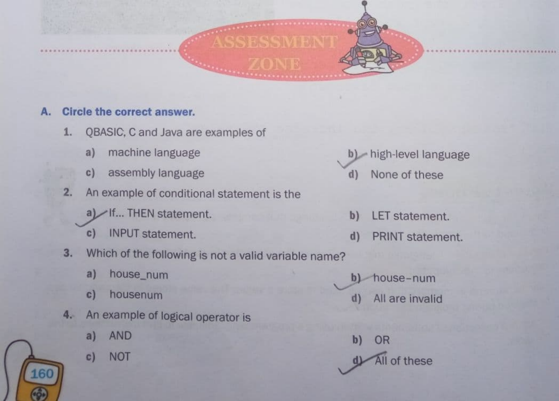

## A. Circle the correct answer.

- 1. QBASIC, C and Java are examples of
	-
	- c) assembly language d) None of these
- 2. An example of conditional statement is the
	- a) If... THEN statement. b) LET statement.
	- c) INPUT statement. <br>
	d) PRINT statement.
- 3. Which of the following is not a valid variable name?
	- a) house\_num b) house-num
	-
- 4. An example of logical operator is
	-
	-

160

- a) machine language b) high-level language
	-
	-
- c) housenum d) All are invalid

a) AND b) OR c) NOT  $\bigoplus$  All of these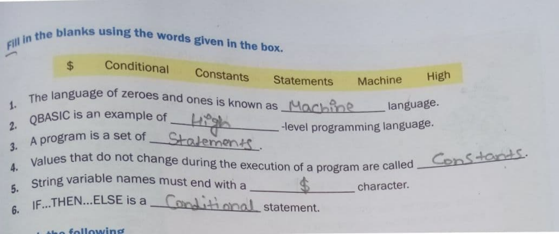## $t_{\text{th}}$  following

Fill in the blanks using the words given in the box. \$ Conditional Constants Statements Machine High The language of zeroes and ones is known as **Machine** anguage  $1.$ QBASIC is an example of 2.  $\frac{2}{\sqrt{1-\frac{1}{2}}}\$  -level programming language. A program is a set of Stalements. Constants. 3. alues that do not change during the execution of a program are called  $4.$  Value  $5.$  String variable names must end with a  $$ character. IF...THEN...ELSE is a <u>Conditional</u> statement. 6.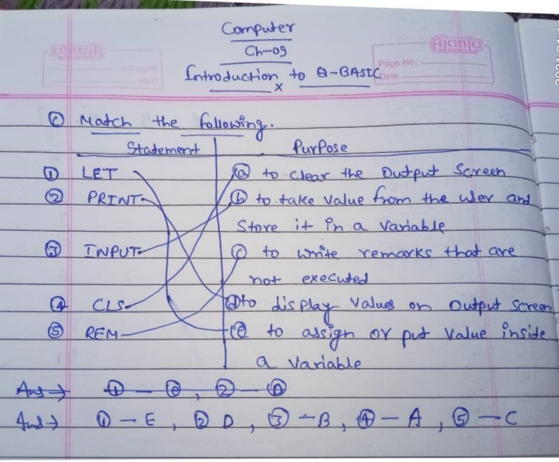Computer  $Ch-09$ Introduction to Q-BASEC 1 Match the following. Purpose Statement led to clear the Dutput Screen LET )  $\varpi$ 1 to take value from the wer and 2 PRINT Store it in a variable  $\odot$ **INPUT** 1 to write remarks that are not executed Oto display Values on Output Screen  $\Omega$  $|\mathfrak{S}|$ le to assign or put value inside  $REM$ a Variable  $\Theta$ ,  $\Omega$  $-\Theta$  $A \rightarrow$  $0-E$ ,  $0D$ ,  $0-B$ ,  $0-A$ ,  $0-C$  $44$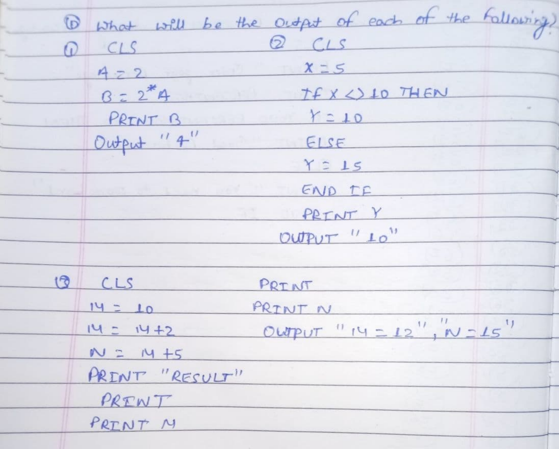1 what will be the output of each of the following)  $Q(CLS)$  $0$   $CLS$  $472$   $x=5$  $B = 2*4$  Tf x <) 10 THEN PRINT B Y = 10 Output " $4''$  ELSE  $Y = 15$ END TF PRINT Y  $OUT''10"$  $CLS$ PRINT  $14 = 10$ PRINT N OUTPUT "  $14 = 12$ ",  $W = 15$ "  $14 = 14 + 2$  $N = M +5$ PRINT "RESULT" PRENT PRINT M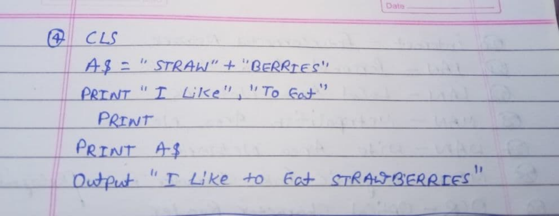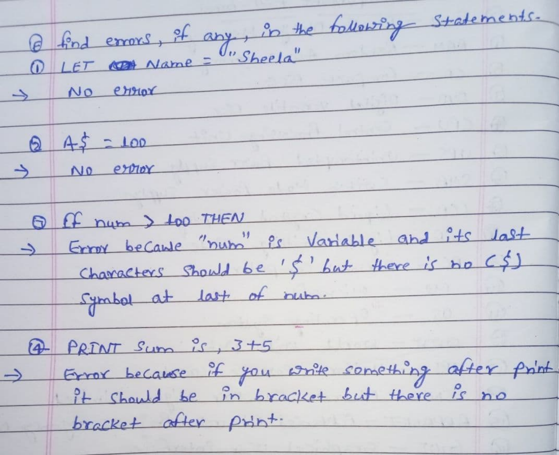Q find errors, it any, in the following statements.  $\rightarrow$  No error <u> 19 dieser teiste mei</u>  $245 = 100$  $\rightarrow$  NO extra  $\rightarrow$ Of num > too THEN 5 Error because "num" is Variable and its last Characters should be 's' but there is no (\$) Symbol at last of num. 4 PRINT Sum is, 3+5 => Error because it you write something after print It should be in bracket but there is no bracket after print.